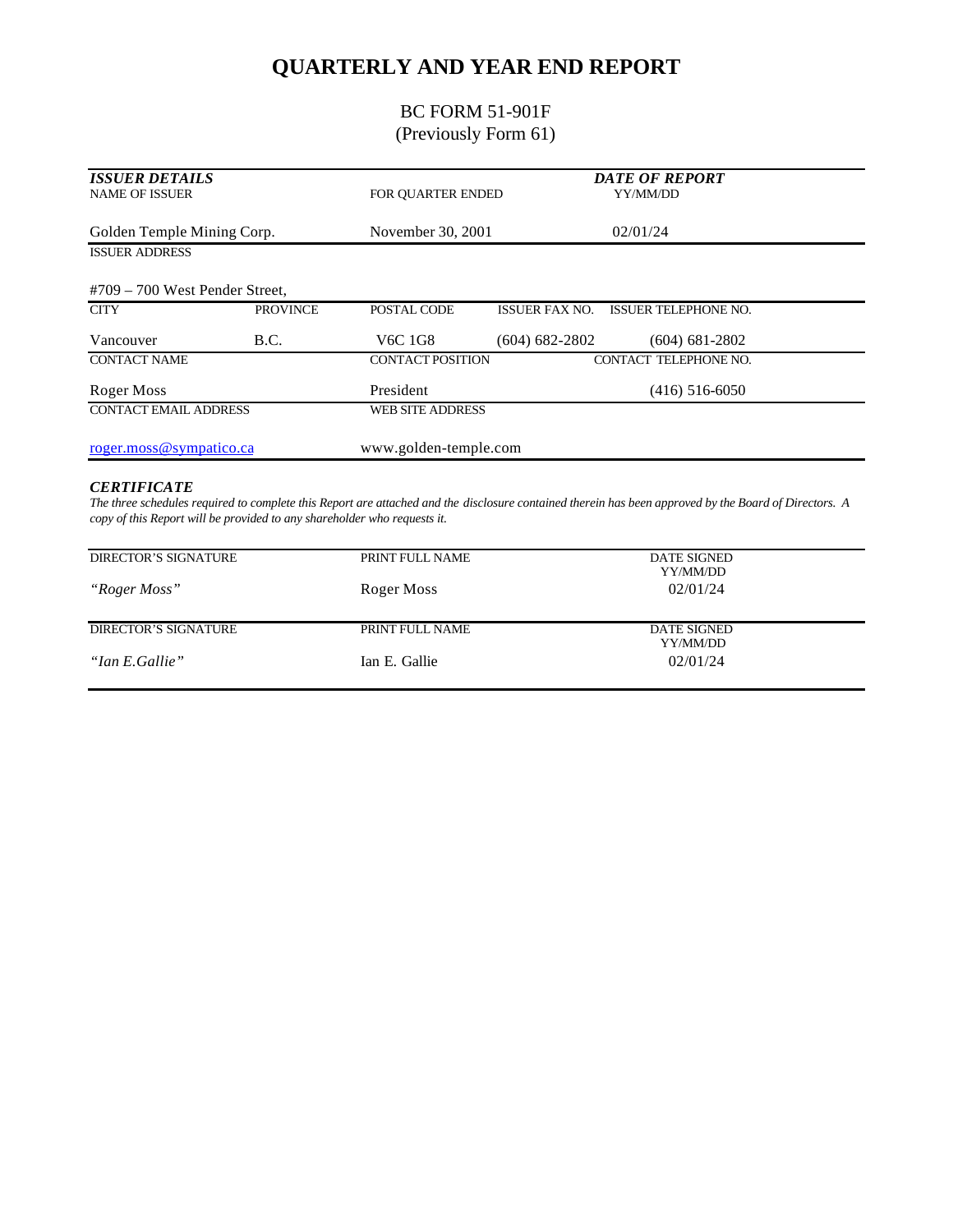# **QUARTERLY AND YEAR END REPORT**

## BC FORM 51-901F (Previously Form 61)

| <b>ISSUER DETAILS</b><br><b>NAME OF ISSUER</b> |                 | FOR OUARTER ENDED                |                       | <b>DATE OF REPORT</b><br>YY/MM/DD |  |
|------------------------------------------------|-----------------|----------------------------------|-----------------------|-----------------------------------|--|
| Golden Temple Mining Corp.                     |                 | November 30, 2001                |                       | 02/01/24                          |  |
| <b>ISSUER ADDRESS</b>                          |                 |                                  |                       |                                   |  |
| $#709 - 700$ West Pender Street,               |                 |                                  |                       |                                   |  |
| <b>CITY</b>                                    | <b>PROVINCE</b> | POSTAL CODE                      | <b>ISSUER FAX NO.</b> | <b>ISSUER TELEPHONE NO.</b>       |  |
| Vancouver                                      | B.C.            | V <sub>6</sub> C 1G <sub>8</sub> | $(604) 682 - 2802$    | $(604)$ 681-2802                  |  |
| <b>CONTACT NAME</b>                            |                 | <b>CONTACT POSITION</b>          |                       | CONTACT TELEPHONE NO.             |  |
| Roger Moss                                     |                 | President                        |                       | $(416)$ 516-6050                  |  |
| <b>CONTACT EMAIL ADDRESS</b>                   |                 | <b>WEB SITE ADDRESS</b>          |                       |                                   |  |
| roger.moss@sympatico.ca                        |                 | www.golden-temple.com            |                       |                                   |  |

#### *CERTIFICATE*

*The three schedules required to complete this Report are attached and the disclosure contained therein has been approved by the Board of Directors. A copy of this Report will be provided to any shareholder who requests it.*

| <b>DIRECTOR'S SIGNATURE</b> | PRINT FULL NAME | <b>DATE SIGNED</b><br>YY/MM/DD |
|-----------------------------|-----------------|--------------------------------|
| "Roger Moss"                | Roger Moss      | 02/01/24                       |
|                             |                 |                                |
| <b>DIRECTOR'S SIGNATURE</b> | PRINT FULL NAME | <b>DATE SIGNED</b><br>YY/MM/DD |
| "Ian E.Gallie"              | Ian E. Gallie   | 02/01/24                       |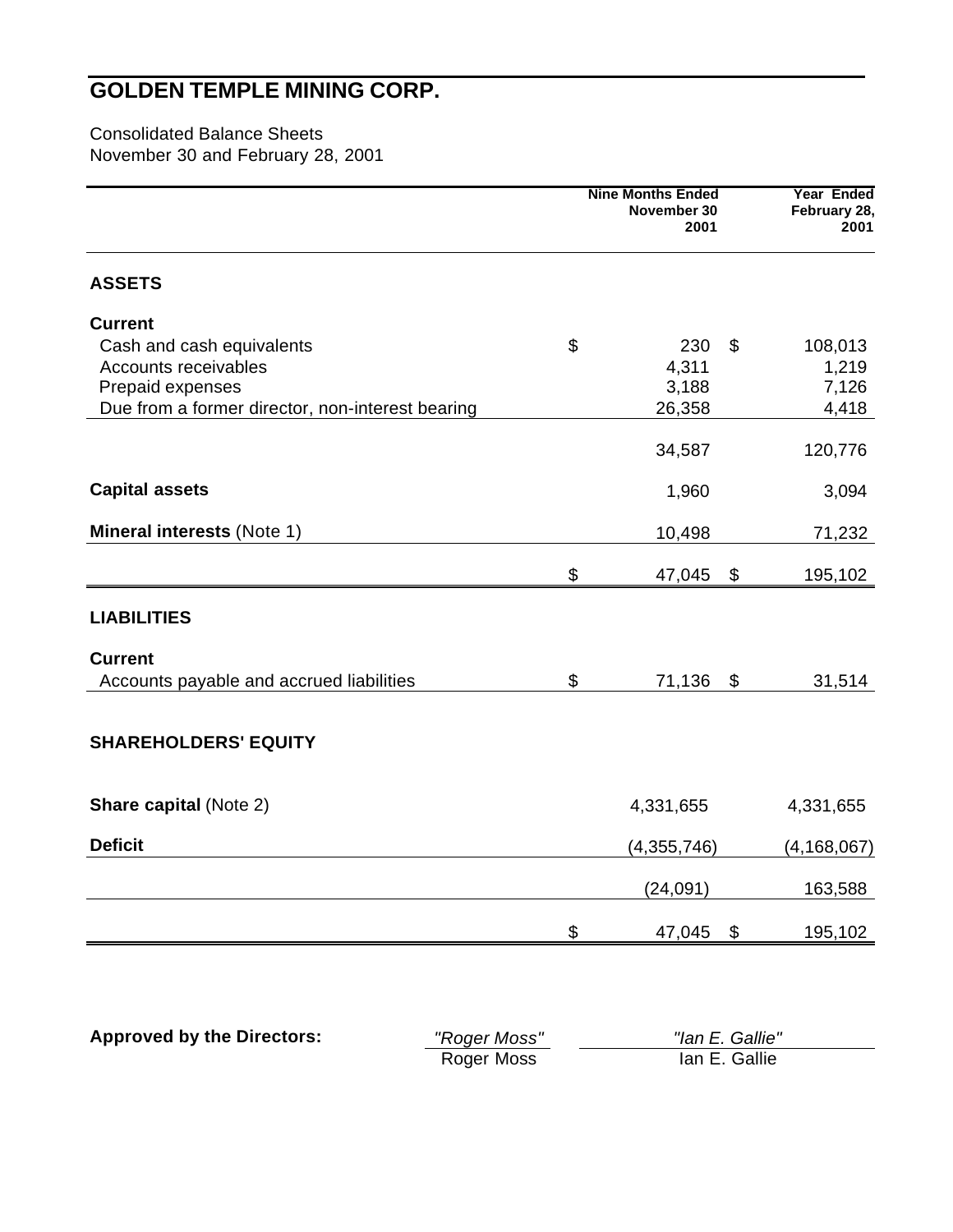Consolidated Balance Sheets November 30 and February 28, 2001

| <b>Nine Months Ended</b><br>November 30<br>2001 |                                                                                |  |
|-------------------------------------------------|--------------------------------------------------------------------------------|--|
|                                                 |                                                                                |  |
|                                                 |                                                                                |  |
| 230<br>\$                                       | 108,013                                                                        |  |
| 4,311                                           | 1,219                                                                          |  |
| 3,188                                           | 7,126                                                                          |  |
| 26,358                                          | 4,418                                                                          |  |
| 34,587                                          | 120,776                                                                        |  |
| 1,960                                           | 3,094                                                                          |  |
| 10,498                                          | 71,232                                                                         |  |
| \$                                              | 195,102                                                                        |  |
|                                                 |                                                                                |  |
|                                                 |                                                                                |  |
|                                                 | 31,514                                                                         |  |
|                                                 |                                                                                |  |
|                                                 |                                                                                |  |
|                                                 | 4,331,655                                                                      |  |
|                                                 | (4, 168, 067)                                                                  |  |
|                                                 | 163,588                                                                        |  |
|                                                 | 195,102                                                                        |  |
|                                                 | 47,045<br>71,136<br>\$<br>4,331,655<br>(4,355,746)<br>(24,091)<br>\$<br>47,045 |  |

| <b>Approved by the Directors:</b> | "Roger Moss" | "Ian E. Gallie" |
|-----------------------------------|--------------|-----------------|
|                                   | Roger Moss   | lan E. Gallie   |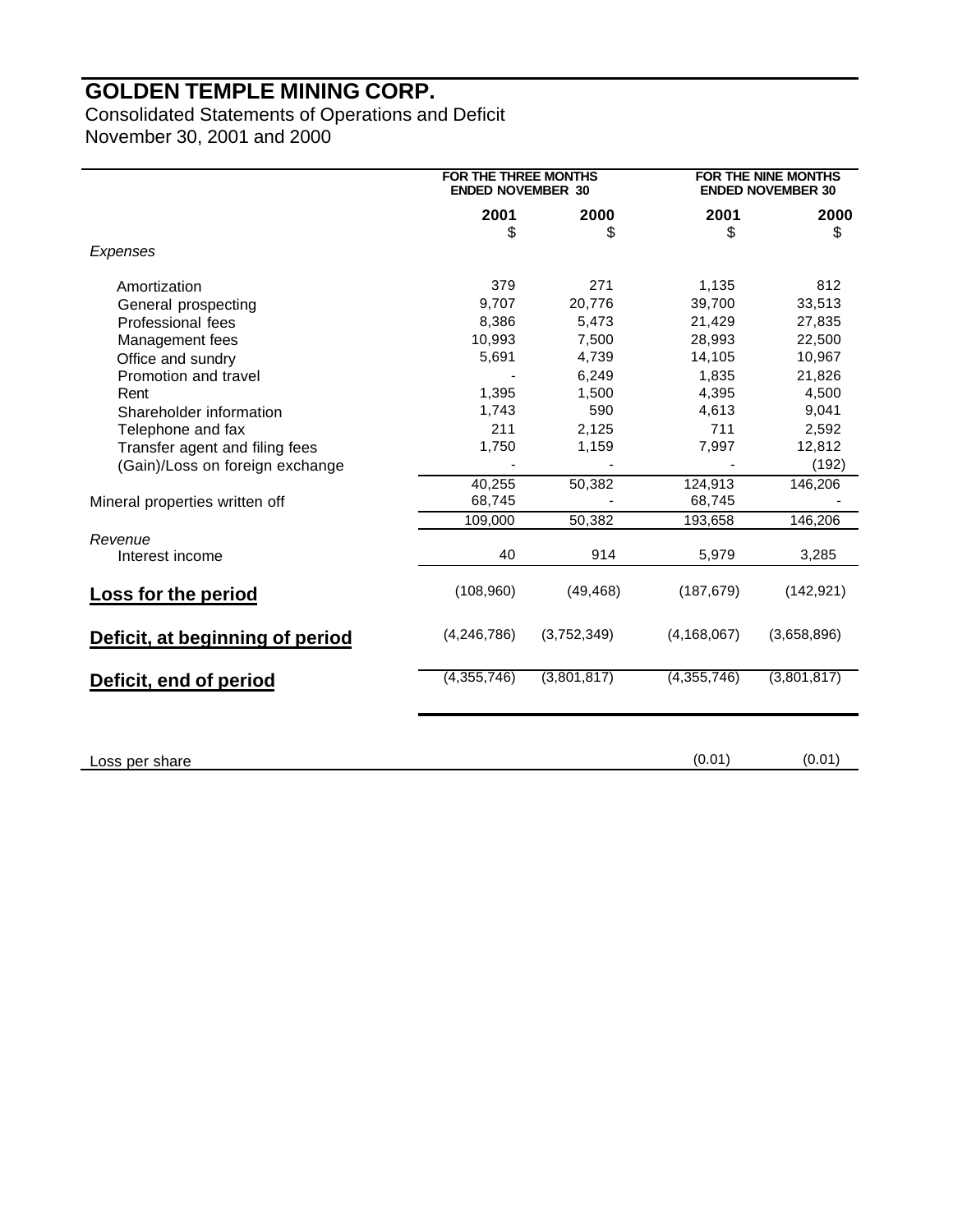Consolidated Statements of Operations and Deficit November 30, 2001 and 2000

|                                 | FOR THE THREE MONTHS<br><b>ENDED NOVEMBER 30</b> |             | FOR THE NINE MONTHS<br><b>ENDED NOVEMBER 30</b> |             |
|---------------------------------|--------------------------------------------------|-------------|-------------------------------------------------|-------------|
|                                 | 2001                                             | 2000        | 2001                                            | 2000        |
|                                 | \$                                               | \$          | \$                                              | \$          |
| Expenses                        |                                                  |             |                                                 |             |
| Amortization                    | 379                                              | 271         | 1,135                                           | 812         |
| General prospecting             | 9,707                                            | 20,776      | 39,700                                          | 33,513      |
| Professional fees               | 8,386                                            | 5,473       | 21,429                                          | 27,835      |
| Management fees                 | 10,993                                           | 7,500       | 28,993                                          | 22,500      |
| Office and sundry               | 5,691                                            | 4,739       | 14,105                                          | 10,967      |
| Promotion and travel            |                                                  | 6.249       | 1.835                                           | 21,826      |
| Rent                            | 1,395                                            | 1,500       | 4,395                                           | 4,500       |
| Shareholder information         | 1,743                                            | 590         | 4,613                                           | 9,041       |
| Telephone and fax               | 211                                              | 2,125       | 711                                             | 2,592       |
| Transfer agent and filing fees  | 1,750                                            | 1,159       | 7,997                                           | 12,812      |
| (Gain)/Loss on foreign exchange |                                                  |             |                                                 | (192)       |
|                                 | 40,255                                           | 50,382      | 124,913                                         | 146,206     |
| Mineral properties written off  | 68,745                                           |             | 68,745                                          |             |
|                                 | 109,000                                          | 50,382      | 193,658                                         | 146,206     |
| Revenue                         |                                                  |             |                                                 |             |
| Interest income                 | 40                                               | 914         | 5,979                                           | 3,285       |
| <b>Loss for the period</b>      | (108,960)                                        | (49, 468)   | (187, 679)                                      | (142, 921)  |
| Deficit, at beginning of period | (4,246,786)                                      | (3,752,349) | (4, 168, 067)                                   | (3,658,896) |
| Deficit, end of period          | (4,355,746)                                      | (3,801,817) | (4,355,746)                                     | (3,801,817) |
|                                 |                                                  |             |                                                 |             |
| Loss per share                  |                                                  |             | (0.01)                                          | (0.01)      |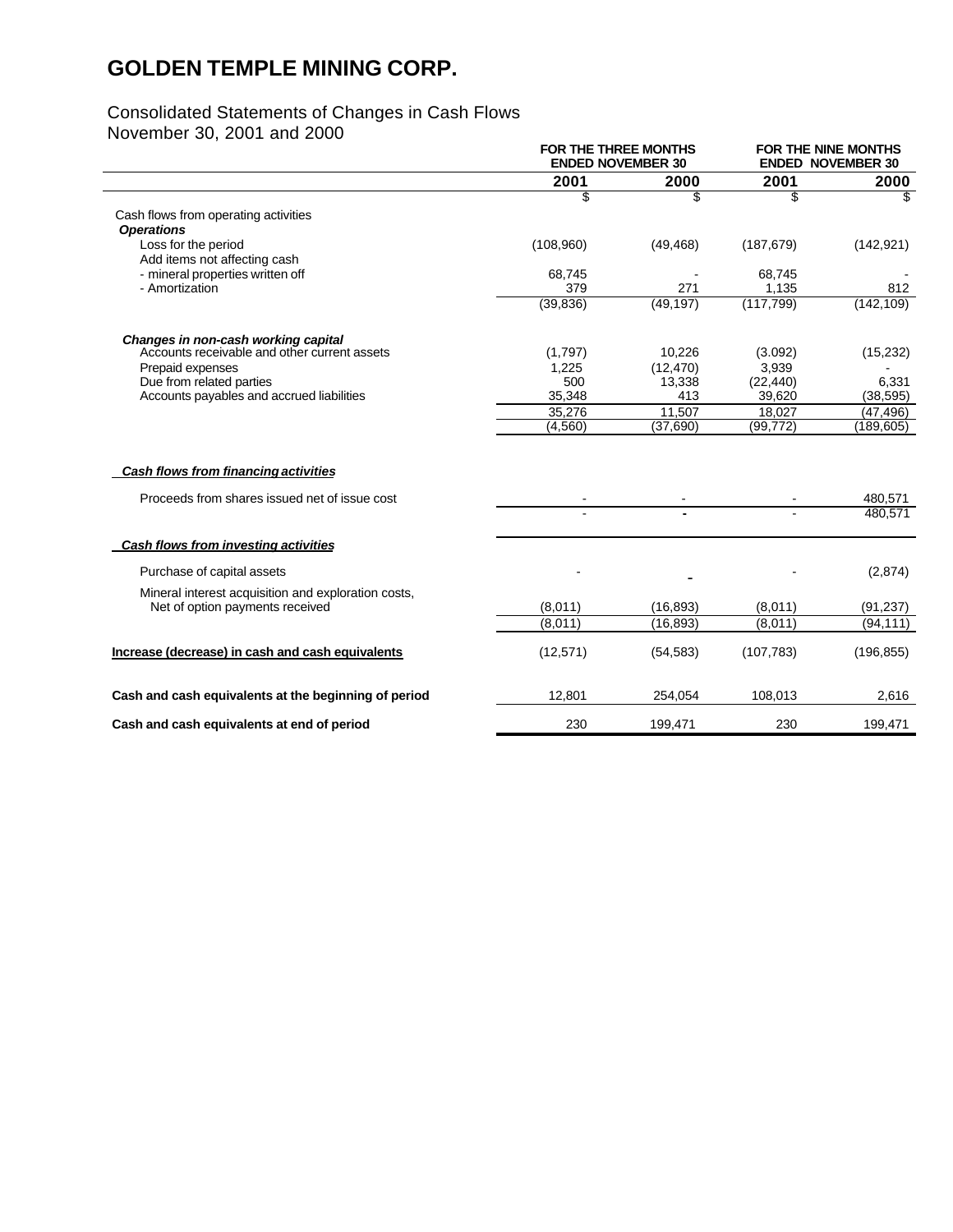#### Consolidated Statements of Changes in Cash Flows

November 30, 2001 and 2000

|                                                      | <b>FOR THE THREE MONTHS</b><br><b>ENDED NOVEMBER 30</b> |           | <b>FOR THE NINE MONTHS</b><br><b>ENDED NOVEMBER 30</b> |            |
|------------------------------------------------------|---------------------------------------------------------|-----------|--------------------------------------------------------|------------|
|                                                      | 2001                                                    | 2000      | 2001                                                   | 2000       |
|                                                      | \$                                                      | \$        | \$                                                     | \$         |
| Cash flows from operating activities                 |                                                         |           |                                                        |            |
| <b>Operations</b>                                    |                                                         |           |                                                        |            |
| Loss for the period                                  | (108,960)                                               | (49, 468) | (187, 679)                                             | (142, 921) |
| Add items not affecting cash                         |                                                         |           |                                                        |            |
| - mineral properties written off<br>- Amortization   | 68,745<br>379                                           | 271       | 68,745<br>1,135                                        | 812        |
|                                                      | (39, 836)                                               | (49, 197) | (117, 799)                                             | (142, 109) |
|                                                      |                                                         |           |                                                        |            |
| Changes in non-cash working capital                  |                                                         |           |                                                        |            |
| Accounts receivable and other current assets         | (1,797)                                                 | 10,226    | (3.092)                                                | (15, 232)  |
| Prepaid expenses                                     | 1,225                                                   | (12, 470) | 3,939                                                  |            |
| Due from related parties                             | 500                                                     | 13,338    | (22, 440)                                              | 6,331      |
| Accounts payables and accrued liabilities            | 35,348                                                  | 413       | 39,620                                                 | (38, 595)  |
|                                                      | 35,276                                                  | 11,507    | 18,027                                                 | (47, 496)  |
|                                                      | (4,560)                                                 | (37,690)  | (99, 772)                                              | (189, 605) |
| Cash flows from financing activities                 |                                                         |           |                                                        |            |
| Proceeds from shares issued net of issue cost        |                                                         |           |                                                        | 480.571    |
|                                                      |                                                         |           |                                                        | 480,571    |
| Cash flows from investing activities                 |                                                         |           |                                                        |            |
| Purchase of capital assets                           |                                                         |           |                                                        | (2,874)    |
| Mineral interest acquisition and exploration costs,  |                                                         |           |                                                        |            |
| Net of option payments received                      | (8,011)                                                 | (16, 893) | (8,011)                                                | (91, 237)  |
|                                                      | (8.011)                                                 | (16, 893) | (8,011)                                                | (94, 111)  |
| Increase (decrease) in cash and cash equivalents     | (12, 571)                                               | (54, 583) | (107, 783)                                             | (196, 855) |
| Cash and cash equivalents at the beginning of period | 12,801                                                  | 254,054   | 108,013                                                | 2,616      |
| Cash and cash equivalents at end of period           | 230                                                     | 199,471   | 230                                                    | 199,471    |